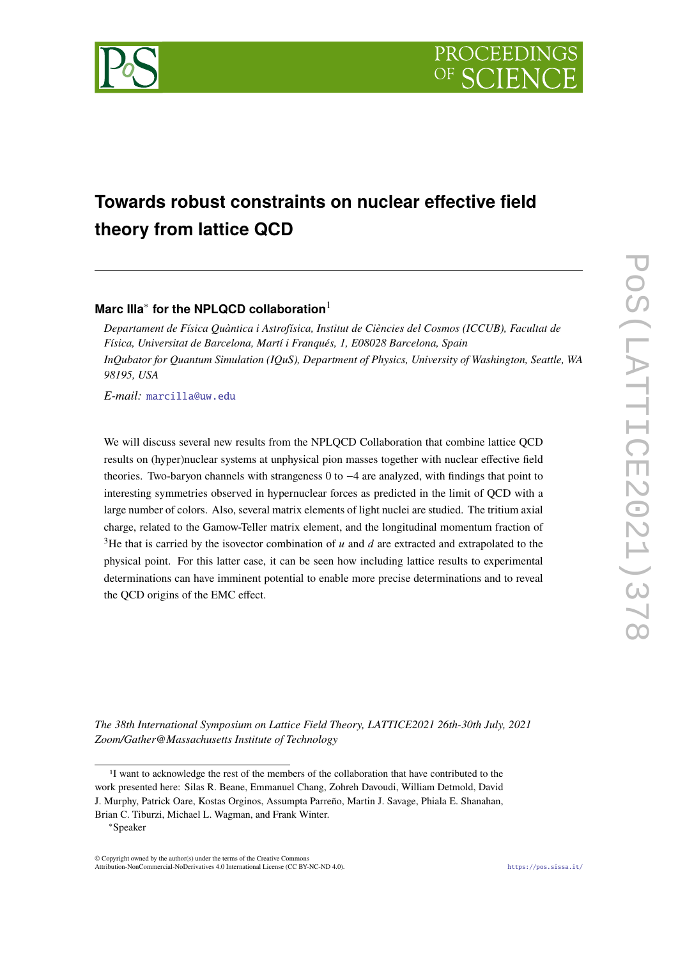

# **Towards robust constraints on nuclear effective field theory from lattice QCD**

## **Marc Illa**<sup>∗</sup> **for the NPLQCD collaboration**<sup>1</sup>

*Departament de Física Quàntica i Astrofísica, Institut de Ciències del Cosmos (ICCUB), Facultat de Física, Universitat de Barcelona, Martí i Franqués, 1, E08028 Barcelona, Spain InQubator for Quantum Simulation (IQuS), Department of Physics, University of Washington, Seattle, WA 98195, USA*

*E-mail:* [marcilla@uw.edu](mailto:marcilla@uw.edu)

We will discuss several new results from the NPLQCD Collaboration that combine lattice QCD results on (hyper)nuclear systems at unphysical pion masses together with nuclear effective field theories. Two-baryon channels with strangeness 0 to −4 are analyzed, with findings that point to interesting symmetries observed in hypernuclear forces as predicted in the limit of QCD with a large number of colors. Also, several matrix elements of light nuclei are studied. The tritium axial charge, related to the Gamow-Teller matrix element, and the longitudinal momentum fraction of <sup>3</sup>He that is carried by the isovector combination of  $u$  and  $d$  are extracted and extrapolated to the physical point. For this latter case, it can be seen how including lattice results to experimental determinations can have imminent potential to enable more precise determinations and to reveal the QCD origins of the EMC effect.

*The 38th International Symposium on Lattice Field Theory, LATTICE2021 26th-30th July, 2021 Zoom/Gather@Massachusetts Institute of Technology*

<sup>&</sup>lt;sup>1</sup>I want to acknowledge the rest of the members of the collaboration that have contributed to the work presented here: Silas R. Beane, Emmanuel Chang, Zohreh Davoudi, William Detmold, David J. Murphy, Patrick Oare, Kostas Orginos, Assumpta Parreño, Martin J. Savage, Phiala E. Shanahan, Brian C. Tiburzi, Michael L. Wagman, and Frank Winter.

<sup>∗</sup>Speaker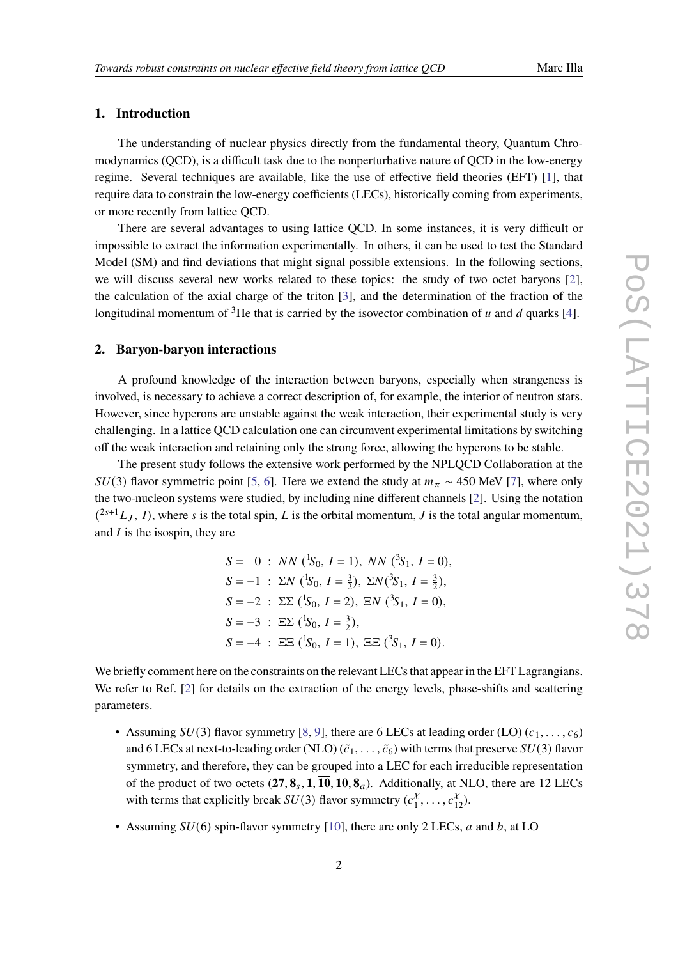#### **1. Introduction**

The understanding of nuclear physics directly from the fundamental theory, Quantum Chromodynamics (QCD), is a difficult task due to the nonperturbative nature of QCD in the low-energy regime. Several techniques are available, like the use of effective field theories (EFT) [\[1\]](#page-6-0), that require data to constrain the low-energy coefficients (LECs), historically coming from experiments, or more recently from lattice QCD.

There are several advantages to using lattice QCD. In some instances, it is very difficult or impossible to extract the information experimentally. In others, it can be used to test the Standard Model (SM) and find deviations that might signal possible extensions. In the following sections, we will discuss several new works related to these topics: the study of two octet baryons [\[2\]](#page-6-1), the calculation of the axial charge of the triton [\[3\]](#page-6-2), and the determination of the fraction of the longitudinal momentum of <sup>3</sup>He that is carried by the isovector combination of  $u$  and  $d$  quarks [\[4\]](#page-6-3).

#### **2. Baryon-baryon interactions**

A profound knowledge of the interaction between baryons, especially when strangeness is involved, is necessary to achieve a correct description of, for example, the interior of neutron stars. However, since hyperons are unstable against the weak interaction, their experimental study is very challenging. In a lattice QCD calculation one can circumvent experimental limitations by switching off the weak interaction and retaining only the strong force, allowing the hyperons to be stable.

The present study follows the extensive work performed by the NPLQCD Collaboration at the  $SU(3)$  flavor symmetric point [\[5,](#page-6-4) [6\]](#page-6-5). Here we extend the study at  $m_{\pi} \sim 450$  MeV [\[7\]](#page-6-6), where only the two-nucleon systems were studied, by including nine different channels [\[2\]](#page-6-1). Using the notation  $(2s+1, I)$ , where s is the total spin, L is the orbital momentum, J is the total angular momentum, and  $I$  is the isospin, they are

> $S = 0$ :  $NN$  ( ${}^{1}S_{0}$ ,  $I = 1$ ),  $NN$  ( ${}^{3}S_{1}$ ,  $I = 0$ ),  $S = -1$  :  $\Sigma N$  ( ${}^{1}S_{0}$ ,  $I = \frac{3}{2}$  $(\frac{3}{2}), \Sigma N(^{3}S_{1}, I = \frac{3}{2})$  $(\frac{3}{2}),$  $S = -2$ :  $\Sigma \Sigma (\frac{1}{50}, I = 2), \Xi N (\frac{3}{51}, I = 0),$  $S = -3$ :  $\Xi \Sigma (\frac{1}{50}, I = \frac{3}{2})$  $(\frac{3}{2}),$  $S = -4$ :  $\Xi \Xi$  (<sup>1</sup>S<sub>0</sub>,  $I = 1$ ),  $\Xi \Xi$  (<sup>3</sup>S<sub>1</sub>,  $I = 0$ ).

We briefly comment here on the constraints on the relevant LECs that appear in the EFT Lagrangians. We refer to Ref. [\[2\]](#page-6-1) for details on the extraction of the energy levels, phase-shifts and scattering parameters.

- Assuming  $SU(3)$  flavor symmetry [\[8,](#page-6-7) [9\]](#page-6-8), there are 6 LECs at leading order (LO)  $(c_1, \ldots, c_6)$ and 6 LECs at next-to-leading order (NLO)  $(\tilde{c}_1, \ldots, \tilde{c}_6)$  with terms that preserve  $SU(3)$  flavor symmetry, and therefore, they can be grouped into a LEC for each irreducible representation of the product of two octets  $(27, 8_s, 1, \overline{10}, 10, 8_a)$ . Additionally, at NLO, there are 12 LECs with terms that explicitly break  $SU(3)$  flavor symmetry  $(c_1^{\lambda})$  $\frac{x}{1}, \ldots, c_{12}^x$ ).
- Assuming  $SU(6)$  spin-flavor symmetry [\[10\]](#page-7-0), there are only 2 LECs, a and b, at LO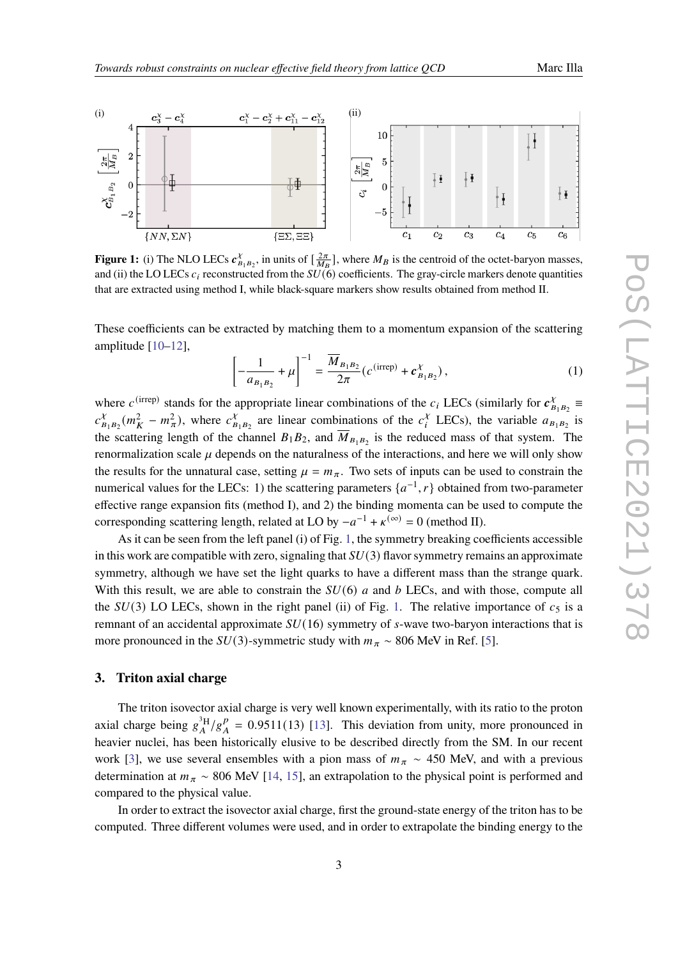

<span id="page-2-0"></span>

**Figure 1:** (i) The NLO LECs  $c_B^{\chi}$  $\chi^{\chi}_{B_1 B_2}$ , in units of  $\left[\frac{2\pi}{M_B}\right]$ , where  $M_B$  is the centroid of the octet-baryon masses, and (ii) the LO LECs  $c_i$  reconstructed from the  $SU(6)$  coefficients. The gray-circle markers denote quantities that are extracted using method I, while black-square markers show results obtained from method II.

These coefficients can be extracted by matching them to a momentum expansion of the scattering amplitude [\[10–](#page-7-0)[12\]](#page-7-1),

$$
\left[ -\frac{1}{a_{B_1 B_2}} + \mu \right]^{-1} = \frac{\overline{M}_{B_1 B_2}}{2\pi} \left( c^{(\text{irrep})} + c_{B_1 B_2}^{\chi} \right),\tag{1}
$$

where  $c^{(\text{irrep})}$  stands for the appropriate linear combinations of the  $c_i$  LECs (similarly for  $c_B^{\chi}$  $X_{B_1B_2}$   $\equiv$  $c_{\mathbf{p}}^{\chi}$  $\chi^{\chi}_{B_1B_2}(m_K^2 - m_\pi^2)$ , where  $c_B^{\chi}$  $\sum_{B_1, B_2}^{\chi}$  are linear combinations of the  $c_i^{\chi}$  $\chi_i^{\chi}$  LECs), the variable  $a_{B_1B_2}$  is the scattering length of the channel  $B_1B_2$ , and  $\overline{M}_{B_1B_2}$  is the reduced mass of that system. The renormalization scale  $\mu$  depends on the naturalness of the interactions, and here we will only show the results for the unnatural case, setting  $\mu = m_{\pi}$ . Two sets of inputs can be used to constrain the numerical values for the LECs: 1) the scattering parameters  $\{a^{-1}, r\}$  obtained from two-parameter effective range expansion fits (method I), and 2) the binding momenta can be used to compute the corresponding scattering length, related at LO by  $-a^{-1} + \kappa^{(\infty)} = 0$  (method II).

As it can be seen from the left panel (i) of Fig. [1,](#page-2-0) the symmetry breaking coefficients accessible in this work are compatible with zero, signaling that  $SU(3)$  flavor symmetry remains an approximate symmetry, although we have set the light quarks to have a different mass than the strange quark. With this result, we are able to constrain the  $SU(6)$  a and b LECs, and with those, compute all the  $SU(3)$  LO LECs, shown in the right panel (ii) of Fig. [1.](#page-2-0) The relative importance of  $c_5$  is a remnant of an accidental approximate  $SU(16)$  symmetry of  $s$ -wave two-baryon interactions that is more pronounced in the  $SU(3)$ -symmetric study with  $m_{\pi} \sim 806$  MeV in Ref. [\[5\]](#page-6-4).

#### **3. Triton axial charge**

The triton isovector axial charge is very well known experimentally, with its ratio to the proton axial charge being  $g_A^{3H}/g_A^p$  $_{A}^{p}$  = 0.9511(13) [\[13\]](#page-7-2). This deviation from unity, more pronounced in heavier nuclei, has been historically elusive to be described directly from the SM. In our recent work [\[3\]](#page-6-2), we use several ensembles with a pion mass of  $m_{\pi} \sim 450$  MeV, and with a previous determination at  $m_{\pi} \sim 806$  MeV [\[14,](#page-7-3) [15\]](#page-7-4), an extrapolation to the physical point is performed and compared to the physical value.

In order to extract the isovector axial charge, first the ground-state energy of the triton has to be computed. Three different volumes were used, and in order to extrapolate the binding energy to the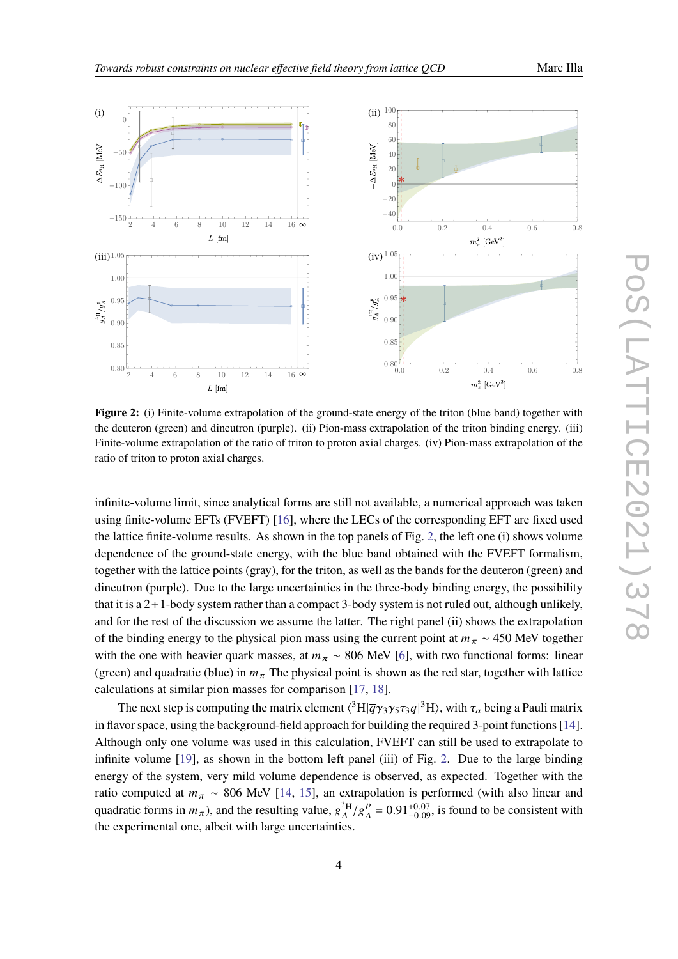<span id="page-3-0"></span>

**Figure 2:** (i) Finite-volume extrapolation of the ground-state energy of the triton (blue band) together with the deuteron (green) and dineutron (purple). (ii) Pion-mass extrapolation of the triton binding energy. (iii) Finite-volume extrapolation of the ratio of triton to proton axial charges. (iv) Pion-mass extrapolation of the ratio of triton to proton axial charges.

infinite-volume limit, since analytical forms are still not available, a numerical approach was taken using finite-volume EFTs (FVEFT) [\[16\]](#page-7-5), where the LECs of the corresponding EFT are fixed used the lattice finite-volume results. As shown in the top panels of Fig. [2,](#page-3-0) the left one (i) shows volume dependence of the ground-state energy, with the blue band obtained with the FVEFT formalism, together with the lattice points (gray), for the triton, as well as the bands for the deuteron (green) and dineutron (purple). Due to the large uncertainties in the three-body binding energy, the possibility that it is a 2+1-body system rather than a compact 3-body system is not ruled out, although unlikely, and for the rest of the discussion we assume the latter. The right panel (ii) shows the extrapolation of the binding energy to the physical pion mass using the current point at  $m_{\pi} \sim 450$  MeV together with the one with heavier quark masses, at  $m_{\pi} \sim 806$  MeV [\[6\]](#page-6-5), with two functional forms: linear (green) and quadratic (blue) in  $m_{\pi}$  The physical point is shown as the red star, together with lattice calculations at similar pion masses for comparison [\[17,](#page-7-6) [18\]](#page-7-7).

The next step is computing the matrix element  $\langle ^3H|\overline{q}\gamma_3\gamma_5\tau_3q|^3H\rangle$ , with  $\tau_a$  being a Pauli matrix in flavor space, using the background-field approach for building the required 3-point functions [\[14\]](#page-7-3). Although only one volume was used in this calculation, FVEFT can still be used to extrapolate to infinite volume [\[19\]](#page-7-8), as shown in the bottom left panel (iii) of Fig. [2.](#page-3-0) Due to the large binding energy of the system, very mild volume dependence is observed, as expected. Together with the ratio computed at  $m_{\pi} \sim 806$  MeV [\[14,](#page-7-3) [15\]](#page-7-4), an extrapolation is performed (with also linear and quadratic forms in  $m_{\pi}$ ), and the resulting value,  $g_A^{3H}/g_A^{\rho}$  $_{A}^{p}$  = 0.91<sup>+0.07</sup>, is found to be consistent with the experimental one, albeit with large uncertainties.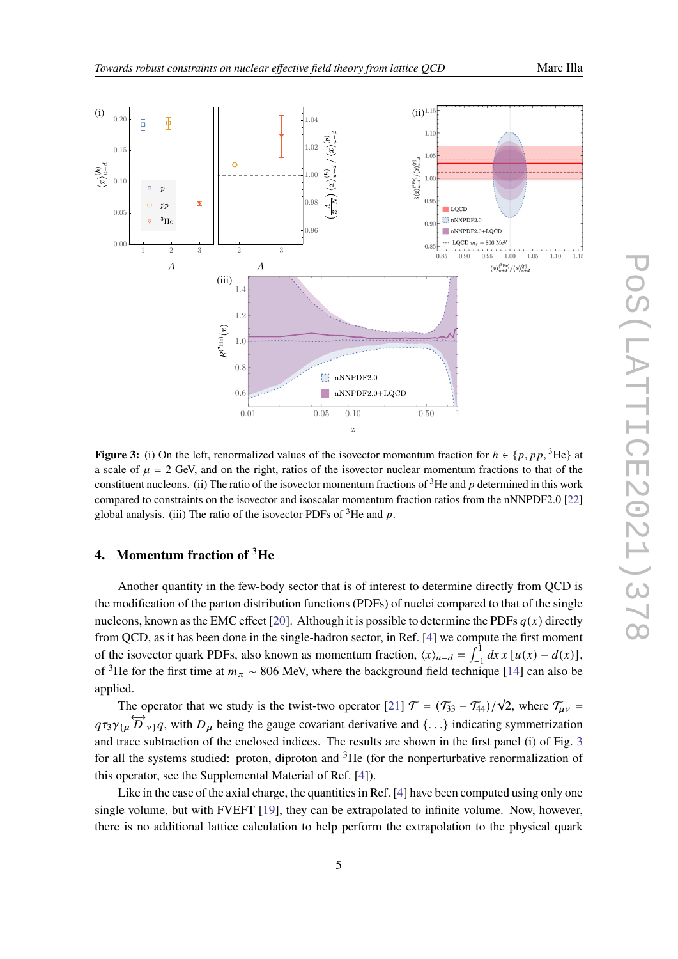<span id="page-4-0"></span>

**Figure 3:** (i) On the left, renormalized values of the isovector momentum fraction for  $h \in \{p, pp, \,^3\}$  at a scale of  $\mu = 2$  GeV, and on the right, ratios of the isovector nuclear momentum fractions to that of the constituent nucleons. (ii) The ratio of the isovector momentum fractions of <sup>3</sup>He and p determined in this work compared to constraints on the isovector and isoscalar momentum fraction ratios from the nNNPDF2.0 [\[22\]](#page-7-9) global analysis. (iii) The ratio of the isovector PDFs of  ${}^{3}$ He and p.

### **4. Momentum fraction of** <sup>3</sup>**He**

Another quantity in the few-body sector that is of interest to determine directly from QCD is the modification of the parton distribution functions (PDFs) of nuclei compared to that of the single nucleons, known as the EMC effect [\[20\]](#page-7-10). Although it is possible to determine the PDFs  $q(x)$  directly from QCD, as it has been done in the single-hadron sector, in Ref. [\[4\]](#page-6-3) we compute the first moment of the isovector quark PDFs, also known as momentum fraction,  $\langle x \rangle_{u-d} = \int_{-1}^{1} dx x [u(x) - d(x)],$ of <sup>3</sup>He for the first time at  $m_{\pi} \sim 806$  MeV, where the background field technique [\[14\]](#page-7-3) can also be applied.

The operator that we study is the twist-two operator [\[21\]](#page-7-11)  $\mathcal{T} = (\mathcal{T}_{33} - \mathcal{T}_{44})/\sqrt{2}$ , where  $\mathcal{T}_{\mu\nu}$  $\overline{q} \tau_3 \gamma_{\{\mu}} \overleftrightarrow{D}_{\nu\}} q$ , with  $D_{\mu}$  being the gauge covariant derivative and {...} indicating symmetrization and trace subtraction of the enclosed indices. The results are shown in the first panel (i) of Fig. [3](#page-4-0) for all the systems studied: proton, diproton and  ${}^{3}$ He (for the nonperturbative renormalization of this operator, see the Supplemental Material of Ref. [\[4\]](#page-6-3)).

Like in the case of the axial charge, the quantities in Ref. [\[4\]](#page-6-3) have been computed using only one single volume, but with FVEFT [\[19\]](#page-7-8), they can be extrapolated to infinite volume. Now, however, there is no additional lattice calculation to help perform the extrapolation to the physical quark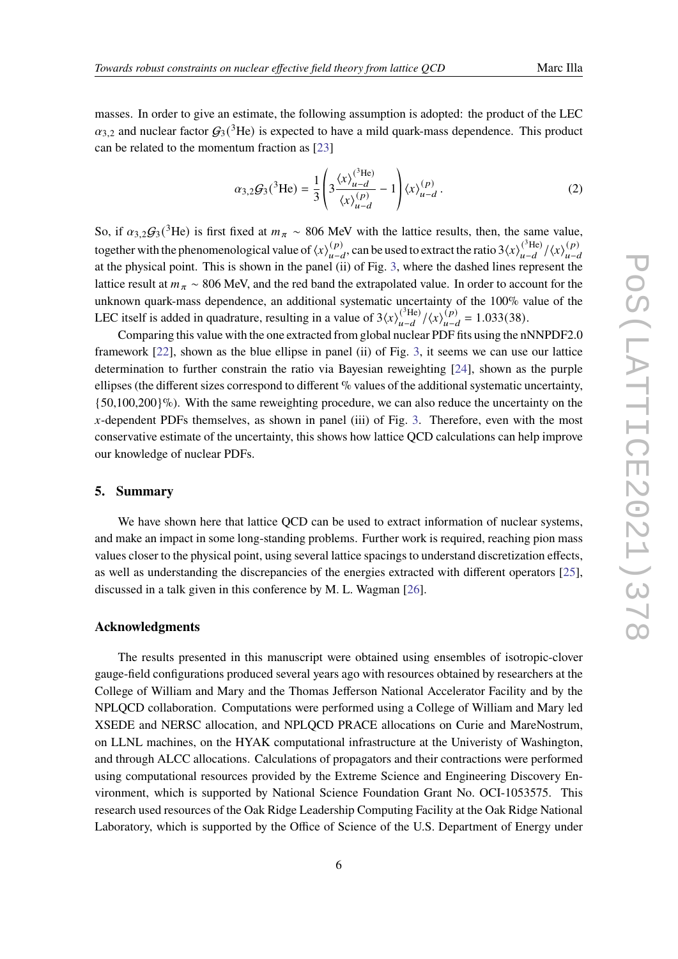masses. In order to give an estimate, the following assumption is adopted: the product of the LEC  $\alpha_{3,2}$  and nuclear factor  $G_3(^3\text{He})$  is expected to have a mild quark-mass dependence. This product can be related to the momentum fraction as [\[23\]](#page-7-12)

$$
\alpha_{3,2}G_3(^3\text{He}) = \frac{1}{3} \left( 3 \frac{\langle x \rangle_{u-d}^{(^3\text{He})}}{\langle x \rangle_{u-d}^{(p)}} - 1 \right) \langle x \rangle_{u-d}^{(p)}.
$$
 (2)

So, if  $\alpha_{3,2}\mathcal{G}_3(^3\text{He})$  is first fixed at  $m_\pi \sim 806$  MeV with the lattice results, then, the same value, together with the phenomenological value of  $\langle x \rangle_{i,j}^{(p)}$  ${}^{(p)}_{u-d}$ , can be used to extract the ratio 3 $\langle x \rangle_{u-d}^{(^{3}He)}$  $\binom{^{3} \text{He}}{u-d} / \langle x \rangle^{(p)}_{u-d}$  $u - d$ at the physical point. This is shown in the panel (ii) of Fig. [3,](#page-4-0) where the dashed lines represent the lattice result at  $m_{\pi} \sim 806$  MeV, and the red band the extrapolated value. In order to account for the unknown quark-mass dependence, an additional systematic uncertainty of the 100% value of the LEC itself is added in quadrature, resulting in a value of  $3\langle x \rangle_{n-d}^{(\text{the})}$  $\frac{(\binom{3}{1}}{u-d}/\langle x \rangle_{u-d}^{(p)}$  $\binom{(p)}{u-d} = 1.033(38).$ 

Comparing this value with the one extracted from global nuclear PDF fits using the nNNPDF2.0 framework [\[22\]](#page-7-9), shown as the blue ellipse in panel (ii) of Fig. [3,](#page-4-0) it seems we can use our lattice determination to further constrain the ratio via Bayesian reweighting [\[24\]](#page-7-13), shown as the purple ellipses (the different sizes correspond to different % values of the additional systematic uncertainty,  ${50,100,200}$ %). With the same reweighting procedure, we can also reduce the uncertainty on the  $x$ -dependent PDFs themselves, as shown in panel (iii) of Fig. [3.](#page-4-0) Therefore, even with the most conservative estimate of the uncertainty, this shows how lattice QCD calculations can help improve our knowledge of nuclear PDFs.

#### **5. Summary**

We have shown here that lattice OCD can be used to extract information of nuclear systems. and make an impact in some long-standing problems. Further work is required, reaching pion mass values closer to the physical point, using several lattice spacings to understand discretization effects, as well as understanding the discrepancies of the energies extracted with different operators [\[25\]](#page-8-0), discussed in a talk given in this conference by M. L. Wagman [\[26\]](#page-8-1).

#### **Acknowledgments**

The results presented in this manuscript were obtained using ensembles of isotropic-clover gauge-field configurations produced several years ago with resources obtained by researchers at the College of William and Mary and the Thomas Jefferson National Accelerator Facility and by the NPLQCD collaboration. Computations were performed using a College of William and Mary led XSEDE and NERSC allocation, and NPLQCD PRACE allocations on Curie and MareNostrum, on LLNL machines, on the HYAK computational infrastructure at the Univeristy of Washington, and through ALCC allocations. Calculations of propagators and their contractions were performed using computational resources provided by the Extreme Science and Engineering Discovery Environment, which is supported by National Science Foundation Grant No. OCI-1053575. This research used resources of the Oak Ridge Leadership Computing Facility at the Oak Ridge National Laboratory, which is supported by the Office of Science of the U.S. Department of Energy under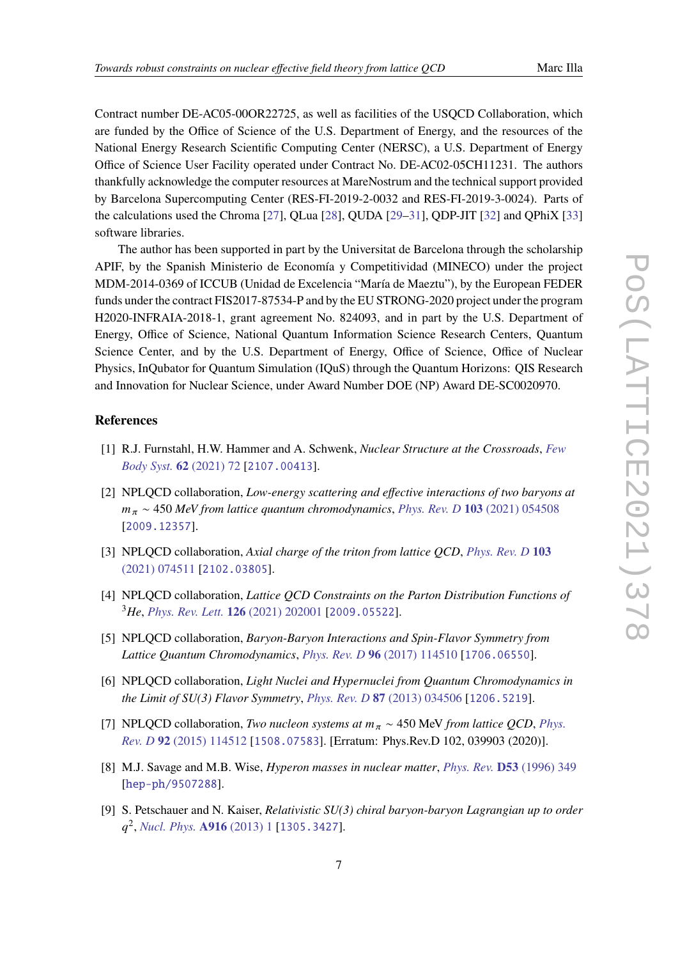Contract number DE-AC05-00OR22725, as well as facilities of the USQCD Collaboration, which are funded by the Office of Science of the U.S. Department of Energy, and the resources of the National Energy Research Scientific Computing Center (NERSC), a U.S. Department of Energy Office of Science User Facility operated under Contract No. DE-AC02-05CH11231. The authors thankfully acknowledge the computer resources at MareNostrum and the technical support provided by Barcelona Supercomputing Center (RES-FI-2019-2-0032 and RES-FI-2019-3-0024). Parts of the calculations used the Chroma [\[27\]](#page-8-2), QLua [\[28\]](#page-8-3), QUDA [\[29–](#page-8-4)[31\]](#page-8-5), QDP-JIT [\[32\]](#page-8-6) and QPhiX [\[33\]](#page-8-7) software libraries.

The author has been supported in part by the Universitat de Barcelona through the scholarship APIF, by the Spanish Ministerio de Economía y Competitividad (MINECO) under the project MDM-2014-0369 of ICCUB (Unidad de Excelencia "María de Maeztu"), by the European FEDER funds under the contract FIS2017-87534-P and by the EU STRONG-2020 project under the program H2020-INFRAIA-2018-1, grant agreement No. 824093, and in part by the U.S. Department of Energy, Office of Science, National Quantum Information Science Research Centers, Quantum Science Center, and by the U.S. Department of Energy, Office of Science, Office of Nuclear Physics, InQubator for Quantum Simulation (IQuS) through the Quantum Horizons: QIS Research and Innovation for Nuclear Science, under Award Number DOE (NP) Award DE-SC0020970.

#### **References**

- <span id="page-6-0"></span>[1] R.J. Furnstahl, H.W. Hammer and A. Schwenk, *Nuclear Structure at the Crossroads*, *[Few](https://doi.org/10.1007/s00601-021-01658-5) [Body Syst.](https://doi.org/10.1007/s00601-021-01658-5)* **62** (2021) 72 [[2107.00413](https://arxiv.org/abs/2107.00413)].
- <span id="page-6-1"></span>[2] NPLQCD collaboration, *Low-energy scattering and effective interactions of two baryons at*  $m_{\pi} \sim 450$  *MeV from lattice quantum chromodynamics, [Phys. Rev. D](https://doi.org/10.1103/PhysRevD.103.054508)* 103 (2021) 054508 [[2009.12357](https://arxiv.org/abs/2009.12357)].
- <span id="page-6-2"></span>[3] NPLQCD collaboration, *Axial charge of the triton from lattice QCD*, *[Phys. Rev. D](https://doi.org/10.1103/PhysRevD.103.074511)* **103** [\(2021\) 074511](https://doi.org/10.1103/PhysRevD.103.074511) [[2102.03805](https://arxiv.org/abs/2102.03805)].
- <span id="page-6-3"></span>[4] NPLQCD collaboration, *Lattice QCD Constraints on the Parton Distribution Functions of* <sup>3</sup>*He*, *[Phys. Rev. Lett.](https://doi.org/10.1103/PhysRevLett.126.202001)* **126** (2021) 202001 [[2009.05522](https://arxiv.org/abs/2009.05522)].
- <span id="page-6-4"></span>[5] NPLQCD collaboration, *Baryon-Baryon Interactions and Spin-Flavor Symmetry from Lattice Quantum Chromodynamics*, *[Phys. Rev. D](https://doi.org/10.1103/PhysRevD.96.114510)* **96** (2017) 114510 [[1706.06550](https://arxiv.org/abs/1706.06550)].
- <span id="page-6-5"></span>[6] NPLQCD collaboration, *Light Nuclei and Hypernuclei from Quantum Chromodynamics in the Limit of SU(3) Flavor Symmetry*, *[Phys. Rev. D](https://doi.org/10.1103/PhysRevD.87.034506)* **87** (2013) 034506 [[1206.5219](https://arxiv.org/abs/1206.5219)].
- <span id="page-6-6"></span>[7] NPLQCD collaboration, *Two nucleon systems at*  $m_{\pi} \sim 450$  MeV *from lattice QCD*, *[Phys.](https://doi.org/10.1103/PhysRevD.92.114512) Rev. D* **92** [\(2015\) 114512](https://doi.org/10.1103/PhysRevD.92.114512) [[1508.07583](https://arxiv.org/abs/1508.07583)]. [Erratum: Phys.Rev.D 102, 039903 (2020)].
- <span id="page-6-7"></span>[8] M.J. Savage and M.B. Wise, *Hyperon masses in nuclear matter*, *[Phys. Rev.](https://doi.org/10.1103/PhysRevD.53.349)* **D53** (1996) 349 [[hep-ph/9507288](https://arxiv.org/abs/hep-ph/9507288)].
- <span id="page-6-8"></span>[9] S. Petschauer and N. Kaiser, *Relativistic SU(3) chiral baryon-baryon Lagrangian up to order* 𝑞 2 , *[Nucl. Phys.](https://doi.org/10.1016/j.nuclphysa.2013.07.010)* **A916** (2013) 1 [[1305.3427](https://arxiv.org/abs/1305.3427)].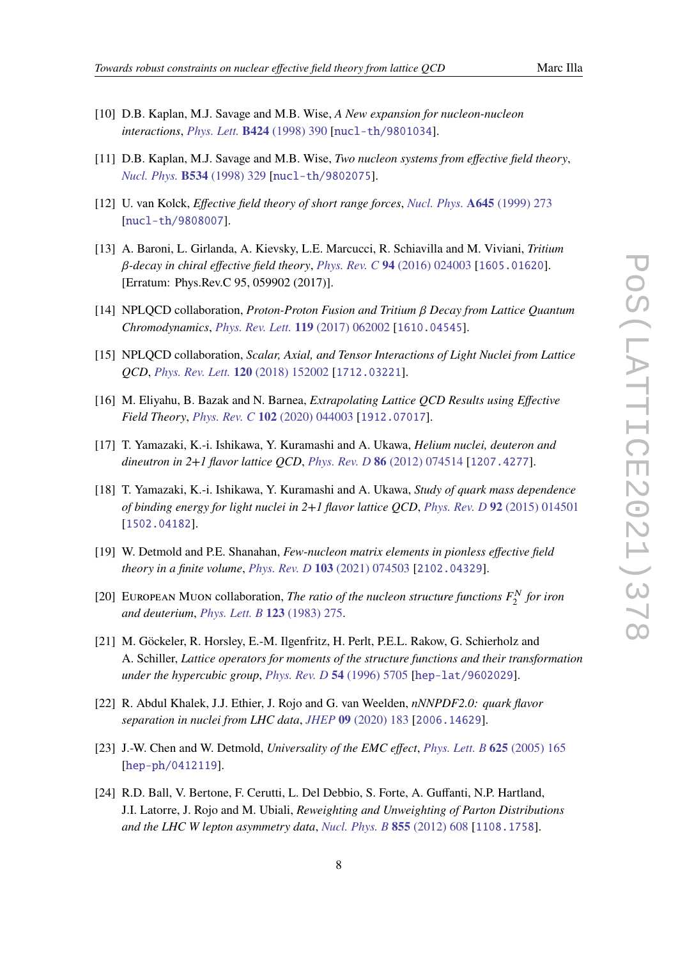- 
- <span id="page-7-0"></span>[10] D.B. Kaplan, M.J. Savage and M.B. Wise, *A New expansion for nucleon-nucleon interactions*, *[Phys. Lett.](https://doi.org/10.1016/S0370-2693(98)00210-X)* **B424** (1998) 390 [[nucl-th/9801034](https://arxiv.org/abs/nucl-th/9801034)].
- [11] D.B. Kaplan, M.J. Savage and M.B. Wise, *Two nucleon systems from effective field theory*, *[Nucl. Phys.](https://doi.org/10.1016/S0550-3213(98)00440-4)* **B534** (1998) 329 [[nucl-th/9802075](https://arxiv.org/abs/nucl-th/9802075)].
- <span id="page-7-1"></span>[12] U. van Kolck, *Effective field theory of short range forces*, *[Nucl. Phys.](https://doi.org/10.1016/S0375-9474(98)00612-5)* **A645** (1999) 273 [[nucl-th/9808007](https://arxiv.org/abs/nucl-th/9808007)].
- <span id="page-7-2"></span>[13] A. Baroni, L. Girlanda, A. Kievsky, L.E. Marcucci, R. Schiavilla and M. Viviani, *Tritium* 𝛽*-decay in chiral effective field theory*, *[Phys. Rev. C](https://doi.org/10.1103/PhysRevC.94.024003)* **94** (2016) 024003 [[1605.01620](https://arxiv.org/abs/1605.01620)]. [Erratum: Phys.Rev.C 95, 059902 (2017)].
- <span id="page-7-3"></span>[14] NPLQCD collaboration, *Proton-Proton Fusion and Tritium*  $\beta$  *Decay from Lattice Quantum Chromodynamics*, *[Phys. Rev. Lett.](https://doi.org/10.1103/PhysRevLett.119.062002)* **119** (2017) 062002 [[1610.04545](https://arxiv.org/abs/1610.04545)].
- <span id="page-7-4"></span>[15] NPLQCD collaboration, *Scalar, Axial, and Tensor Interactions of Light Nuclei from Lattice QCD*, *[Phys. Rev. Lett.](https://doi.org/10.1103/PhysRevLett.120.152002)* **120** (2018) 152002 [[1712.03221](https://arxiv.org/abs/1712.03221)].
- <span id="page-7-5"></span>[16] M. Eliyahu, B. Bazak and N. Barnea, *Extrapolating Lattice QCD Results using Effective Field Theory*, *[Phys. Rev. C](https://doi.org/10.1103/PhysRevC.102.044003)* **102** (2020) 044003 [[1912.07017](https://arxiv.org/abs/1912.07017)].
- <span id="page-7-6"></span>[17] T. Yamazaki, K.-i. Ishikawa, Y. Kuramashi and A. Ukawa, *Helium nuclei, deuteron and dineutron in 2+1 flavor lattice QCD*, *[Phys. Rev. D](https://doi.org/10.1103/PhysRevD.86.074514)* **86** (2012) 074514 [[1207.4277](https://arxiv.org/abs/1207.4277)].
- <span id="page-7-7"></span>[18] T. Yamazaki, K.-i. Ishikawa, Y. Kuramashi and A. Ukawa, *Study of quark mass dependence of binding energy for light nuclei in 2+1 flavor lattice QCD*, *[Phys. Rev. D](https://doi.org/10.1103/PhysRevD.92.014501)* **92** (2015) 014501 [[1502.04182](https://arxiv.org/abs/1502.04182)].
- <span id="page-7-8"></span>[19] W. Detmold and P.E. Shanahan, *Few-nucleon matrix elements in pionless effective field theory in a finite volume*, *[Phys. Rev. D](https://doi.org/10.1103/PhysRevD.103.074503)* **103** (2021) 074503 [[2102.04329](https://arxiv.org/abs/2102.04329)].
- <span id="page-7-10"></span>[20] EUROPEAN MUON collaboration, *The ratio of the nucleon structure functions*  $F_2^N$  *for iron and deuterium*, *[Phys. Lett. B](https://doi.org/10.1016/0370-2693(83)90437-9)* **123** (1983) 275.
- <span id="page-7-11"></span>[21] M. Göckeler, R. Horsley, E.-M. Ilgenfritz, H. Perlt, P.E.L. Rakow, G. Schierholz and A. Schiller, *Lattice operators for moments of the structure functions and their transformation under the hypercubic group*, *[Phys. Rev. D](https://doi.org/10.1103/PhysRevD.54.5705)* **54** (1996) 5705 [[hep-lat/9602029](https://arxiv.org/abs/hep-lat/9602029)].
- <span id="page-7-9"></span>[22] R. Abdul Khalek, J.J. Ethier, J. Rojo and G. van Weelden, *nNNPDF2.0: quark flavor separation in nuclei from LHC data*, *JHEP* **09** [\(2020\) 183](https://doi.org/10.1007/JHEP09(2020)183) [[2006.14629](https://arxiv.org/abs/2006.14629)].
- <span id="page-7-12"></span>[23] J.-W. Chen and W. Detmold, *Universality of the EMC effect*, *[Phys. Lett. B](https://doi.org/10.1016/j.physletb.2005.08.041)* **625** (2005) 165 [[hep-ph/0412119](https://arxiv.org/abs/hep-ph/0412119)].
- <span id="page-7-13"></span>[24] R.D. Ball, V. Bertone, F. Cerutti, L. Del Debbio, S. Forte, A. Guffanti, N.P. Hartland, J.I. Latorre, J. Rojo and M. Ubiali, *Reweighting and Unweighting of Parton Distributions and the LHC W lepton asymmetry data*, *[Nucl. Phys. B](https://doi.org/10.1016/j.nuclphysb.2011.10.018)* **855** (2012) 608 [[1108.1758](https://arxiv.org/abs/1108.1758)].